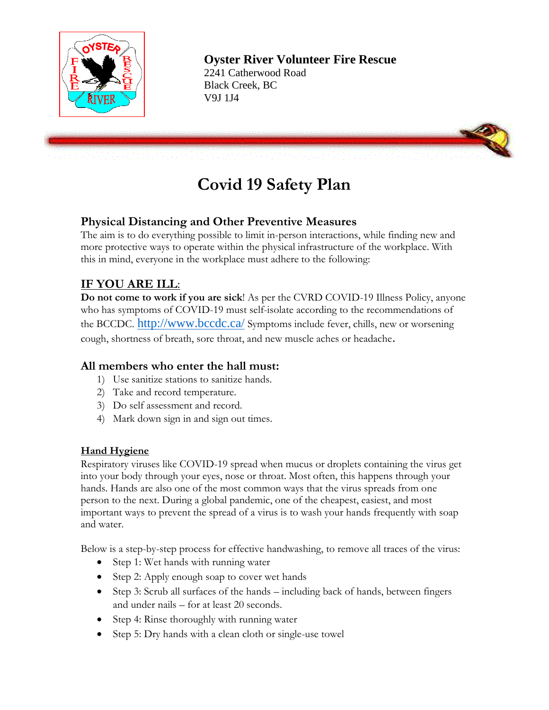

2241 Catherwood Road Black Creek, BC V9J 1J4



# **Covid 19 Safety Plan**

### **Physical Distancing and Other Preventive Measures**

The aim is to do everything possible to limit in-person interactions, while finding new and more protective ways to operate within the physical infrastructure of the workplace. With this in mind, everyone in the workplace must adhere to the following:

### **IF YOU ARE ILL**:

**Do not come to work if you are sick**! As per the CVRD COVID-19 Illness Policy, anyone who has symptoms of COVID-19 must self-isolate according to the recommendations of the BCCDC. <http://www.bccdc.ca/> Symptoms include fever, chills, new or worsening cough, shortness of breath, sore throat, and new muscle aches or headache.

#### **All members who enter the hall must:**

- 1) Use sanitize stations to sanitize hands.
- 2) Take and record temperature.
- 3) Do self assessment and record.
- 4) Mark down sign in and sign out times.

#### **Hand Hygiene**

Respiratory viruses like COVID-19 spread when mucus or droplets containing the virus get into your body through your eyes, nose or throat. Most often, this happens through your hands. Hands are also one of the most common ways that the virus spreads from one person to the next. During a global pandemic, one of the cheapest, easiest, and most important ways to prevent the spread of a virus is to wash your hands frequently with soap and water.

Below is a step-by-step process for effective handwashing, to remove all traces of the virus:

- Step 1: Wet hands with running water
- Step 2: Apply enough soap to cover wet hands
- Step 3: Scrub all surfaces of the hands including back of hands, between fingers and under nails – for at least 20 seconds.
- Step 4: Rinse thoroughly with running water
- Step 5: Dry hands with a clean cloth or single-use towel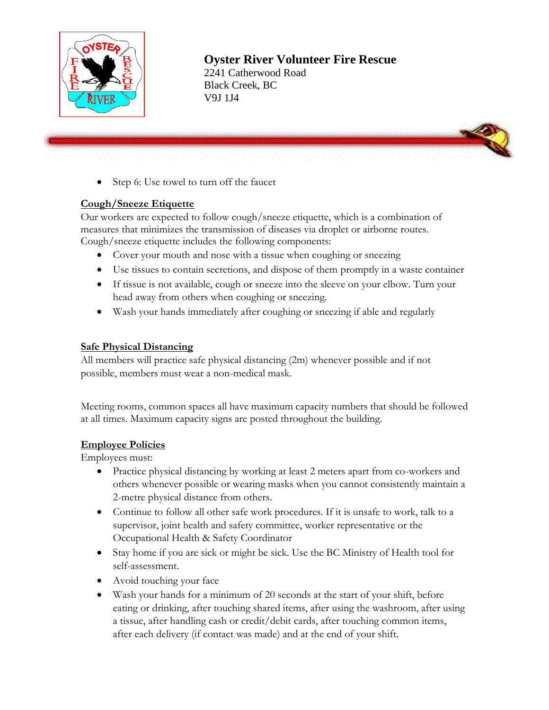

2241 Catherwood Road Black Creek, BC V9J 1J4



• Step 6: Use towel to turn off the faucet

#### **Cough/Sneeze Etiquette**

Our workers are expected to follow cough/sneeze etiquette, which is a combination of measures that minimizes the transmission of diseases via droplet or airborne routes. Cough/sneeze etiquette includes the following components:

- Cover your mouth and nose with a tissue when coughing or sneezing
- Use tissues to contain secretions, and dispose of them promptly in a waste container
- If tissue is not available, cough or sneeze into the sleeve on your elbow. Turn your head away from others when coughing or sneezing.
- Wash your hands immediately after coughing or sneezing if able and regularly

#### **Safe Physical Distancing**

All members will practice safe physical distancing (2m) whenever possible and if not possible, members must wear a non-medical mask.

Meeting rooms, common spaces all have maximum capacity numbers that should be followed at all times. Maximum capacity signs are posted throughout the building.

#### **Employee Policies**

Employees must:

- Practice physical distancing by working at least 2 meters apart from co-workers and others whenever possible or wearing masks when you cannot consistently maintain a 2-metre physical distance from others.
- Continue to follow all other safe work procedures. If it is unsafe to work, talk to a supervisor, joint health and safety committee, worker representative or the Occupational Health & Safety Coordinator
- Stay home if you are sick or might be sick. Use the BC Ministry of Health tool for self-assessment.
- Avoid touching your face
- Wash your hands for a minimum of 20 seconds at the start of your shift, before eating or drinking, after touching shared items, after using the washroom, after using a tissue, after handling cash or credit/debit cards, after touching common items, after each delivery (if contact was made) and at the end of your shift.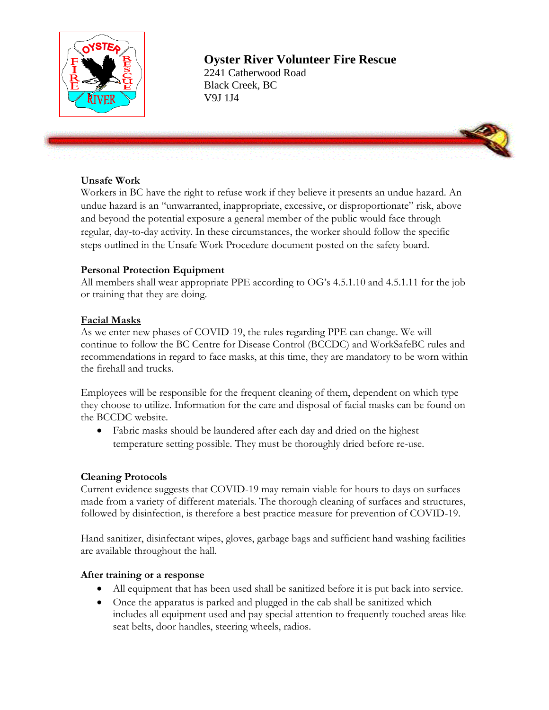

2241 Catherwood Road Black Creek, BC V9J 1J4

#### **Unsafe Work**

Workers in BC have the right to refuse work if they believe it presents an undue hazard. An undue hazard is an "unwarranted, inappropriate, excessive, or disproportionate" risk, above and beyond the potential exposure a general member of the public would face through regular, day-to-day activity. In these circumstances, the worker should follow the specific steps outlined in the Unsafe Work Procedure document posted on the safety board.

#### **Personal Protection Equipment**

All members shall wear appropriate PPE according to OG's 4.5.1.10 and 4.5.1.11 for the job or training that they are doing.

#### **Facial Masks**

As we enter new phases of COVID-19, the rules regarding PPE can change. We will continue to follow the BC Centre for Disease Control (BCCDC) and WorkSafeBC rules and recommendations in regard to face masks, at this time, they are mandatory to be worn within the firehall and trucks.

Employees will be responsible for the frequent cleaning of them, dependent on which type they choose to utilize. Information for the care and disposal of facial masks can be found on the BCCDC website.

• Fabric masks should be laundered after each day and dried on the highest temperature setting possible. They must be thoroughly dried before re-use.

#### **Cleaning Protocols**

Current evidence suggests that COVID-19 may remain viable for hours to days on surfaces made from a variety of different materials. The thorough cleaning of surfaces and structures, followed by disinfection, is therefore a best practice measure for prevention of COVID-19.

Hand sanitizer, disinfectant wipes, gloves, garbage bags and sufficient hand washing facilities are available throughout the hall.

#### **After training or a response**

- All equipment that has been used shall be sanitized before it is put back into service.
- Once the apparatus is parked and plugged in the cab shall be sanitized which includes all equipment used and pay special attention to frequently touched areas like seat belts, door handles, steering wheels, radios.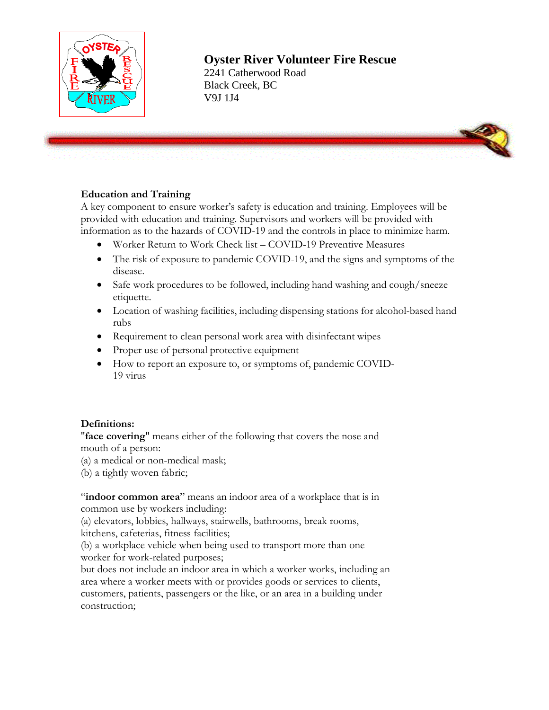

2241 Catherwood Road Black Creek, BC V9J 1J4



#### **Education and Training**

A key component to ensure worker's safety is education and training. Employees will be provided with education and training. Supervisors and workers will be provided with information as to the hazards of COVID-19 and the controls in place to minimize harm.

- Worker Return to Work Check list COVID-19 Preventive Measures
- The risk of exposure to pandemic COVID-19, and the signs and symptoms of the disease.
- Safe work procedures to be followed, including hand washing and cough/sneeze etiquette.
- Location of washing facilities, including dispensing stations for alcohol-based hand rubs
- Requirement to clean personal work area with disinfectant wipes
- Proper use of personal protective equipment
- How to report an exposure to, or symptoms of, pandemic COVID-19 virus

#### **Definitions:**

"**face covering**" means either of the following that covers the nose and mouth of a person:

- (a) a medical or non-medical mask;
- (b) a tightly woven fabric;

"indoor common area" means an indoor area of a workplace that is in common use by workers including:

(a) elevators, lobbies, hallways, stairwells, bathrooms, break rooms, kitchens, cafeterias, fitness facilities;

(b) a workplace vehicle when being used to transport more than one worker for work-related purposes;

but does not include an indoor area in which a worker works, including an area where a worker meets with or provides goods or services to clients, customers, patients, passengers or the like, or an area in a building under construction;